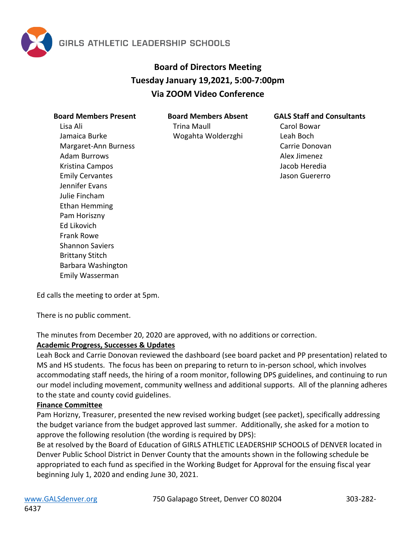

# **Board of Directors Meeting Tuesday January 19,2021, 5:00-7:00pm Via ZOOM Video Conference**

| <b>Board Members Present</b> |
|------------------------------|
| Lisa Ali                     |
| Jamaica Burke                |
| Margaret-Ann Burness         |
| <b>Adam Burrows</b>          |
| Kristina Campos              |
| <b>Emily Cervantes</b>       |
| Jennifer Evans               |
| Julie Fincham                |
| Ethan Hemming                |
| Pam Horiszny                 |
| Ed Likovich                  |
| Frank Rowe                   |
| Shannon Saviers              |
| <b>Brittany Stitch</b>       |
| Barbara Washington           |
| Emily Wasserman              |

**Board Members Absent**

Trina Maull Wogahta Wolderzghi

#### **GALS Staff and Consultants**

Carol Bowar Leah Boch Carrie Donovan Alex Jimenez Jacob Heredia Jason Guererro

Ed calls the meeting to order at 5pm.

There is no public comment.

The minutes from December 20, 2020 are approved, with no additions or correction.

### **Academic Progress, Successes & Updates**

Leah Bock and Carrie Donovan reviewed the dashboard (see board packet and PP presentation) related to MS and HS students. The focus has been on preparing to return to in-person school, which involves accommodating staff needs, the hiring of a room monitor, following DPS guidelines, and continuing to run our model including movement, community wellness and additional supports. All of the planning adheres to the state and county covid guidelines.

### **Finance Committee**

Pam Horizny, Treasurer, presented the new revised working budget (see packet), specifically addressing the budget variance from the budget approved last summer. Additionally, she asked for a motion to approve the following resolution (the wording is required by DPS):

Be at resolved by the Board of Education of GIRLS ATHLETIC LEADERSHIP SCHOOLS of DENVER located in Denver Public School District in Denver County that the amounts shown in the following schedule be appropriated to each fund as specified in the Working Budget for Approval for the ensuing fiscal year beginning July 1, 2020 and ending June 30, 2021.